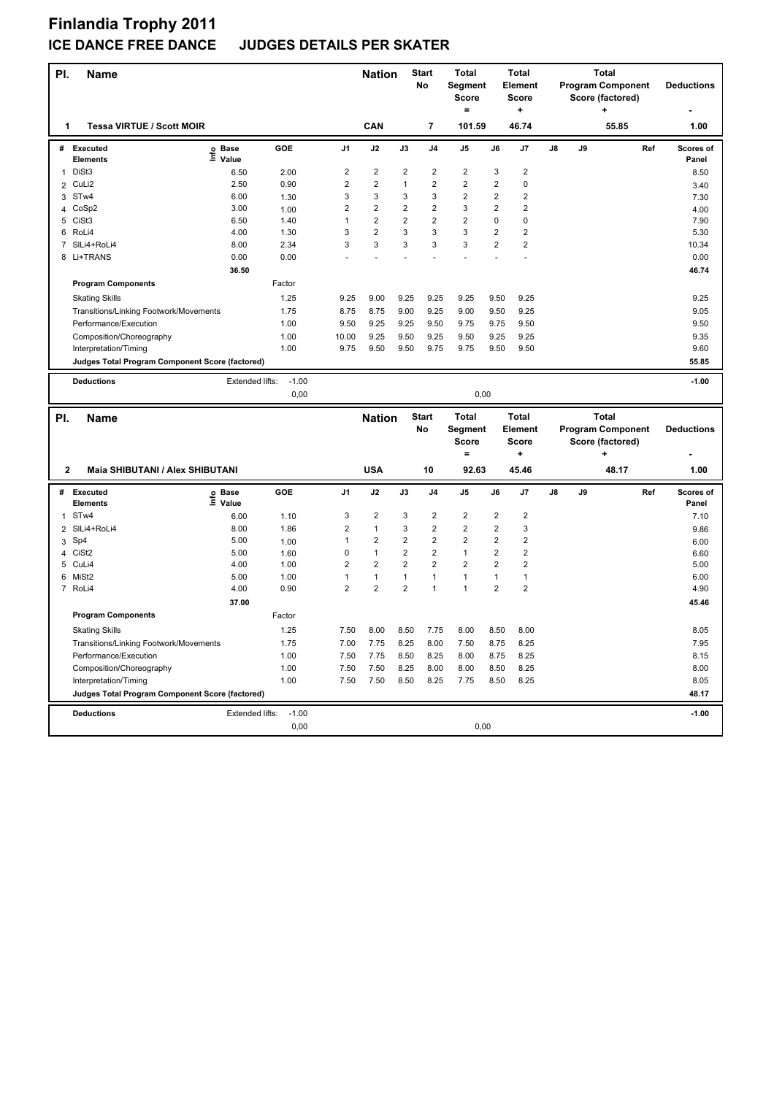| PI.            | <b>Name</b>                                                              |                   |                 |                         | <b>Nation</b>  |                         | <b>Start</b><br><b>No</b> | <b>Total</b><br><b>Segment</b><br><b>Score</b><br>$=$ |                | <b>Total</b><br>Element<br><b>Score</b><br>$\ddot{}$ |    |    | <b>Total</b><br><b>Program Component</b><br>Score (factored)<br>٠ |     | <b>Deductions</b>  |
|----------------|--------------------------------------------------------------------------|-------------------|-----------------|-------------------------|----------------|-------------------------|---------------------------|-------------------------------------------------------|----------------|------------------------------------------------------|----|----|-------------------------------------------------------------------|-----|--------------------|
| 1              | <b>Tessa VIRTUE / Scott MOIR</b>                                         |                   |                 |                         | CAN            |                         | $\overline{7}$            | 101.59                                                |                | 46.74                                                |    |    | 55.85                                                             |     | 1.00               |
| #              | <b>Executed</b><br><b>Elements</b>                                       | e Base<br>⊆ Value | GOE             | J <sub>1</sub>          | J2             | J3                      | J <sub>4</sub>            | J <sub>5</sub>                                        | J6             | J7                                                   | J8 | J9 |                                                                   | Ref | Scores of<br>Panel |
| $\mathbf{1}$   | DiSt3                                                                    | 6.50              | 2.00            | $\overline{\mathbf{c}}$ | $\overline{2}$ | $\overline{2}$          | $\overline{2}$            | $\overline{2}$                                        | 3              | $\overline{2}$                                       |    |    |                                                                   |     | 8.50               |
| $\overline{2}$ | CuLi2                                                                    | 2.50              | 0.90            | $\overline{2}$          | $\overline{2}$ | $\mathbf{1}$            | $\overline{2}$            | $\overline{2}$                                        | $\overline{2}$ | $\pmb{0}$                                            |    |    |                                                                   |     | 3.40               |
| 3              | STw4                                                                     | 6.00              | 1.30            | 3                       | 3              | 3                       | 3                         | $\overline{2}$                                        | $\overline{2}$ | $\overline{2}$                                       |    |    |                                                                   |     | 7.30               |
|                | 4 CoSp2                                                                  | 3.00              | 1.00            | $\overline{2}$          | $\overline{2}$ | $\overline{2}$          | $\overline{\mathbf{c}}$   | $\mathsf 3$                                           | $\overline{2}$ | $\overline{2}$                                       |    |    |                                                                   |     | 4.00               |
| 5              | CiSt <sub>3</sub>                                                        | 6.50              | 1.40            | $\mathbf{1}$            | $\overline{2}$ | $\overline{\mathbf{c}}$ | $\overline{2}$            | $\overline{2}$                                        | $\mathbf 0$    | $\pmb{0}$                                            |    |    |                                                                   |     | 7.90               |
| 6              | RoLi4                                                                    | 4.00              | 1.30            | 3                       | $\overline{2}$ | 3                       | 3                         | 3                                                     | $\overline{2}$ | $\overline{2}$                                       |    |    |                                                                   |     | 5.30               |
| 7              | SILi4+RoLi4                                                              | 8.00              | 2.34            | 3                       | 3              | 3                       | 3                         | 3                                                     | $\overline{2}$ | $\overline{2}$                                       |    |    |                                                                   |     | 10.34              |
|                | 8 Li+TRANS                                                               | 0.00              | 0.00            |                         |                |                         |                           |                                                       |                |                                                      |    |    |                                                                   |     | 0.00               |
|                |                                                                          | 36.50             |                 |                         |                |                         |                           |                                                       |                |                                                      |    |    |                                                                   |     | 46.74              |
|                | <b>Program Components</b>                                                |                   | Factor          |                         |                |                         |                           |                                                       |                |                                                      |    |    |                                                                   |     |                    |
|                | <b>Skating Skills</b>                                                    |                   | 1.25            | 9.25                    | 9.00           | 9.25                    | 9.25                      | 9.25                                                  | 9.50           | 9.25                                                 |    |    |                                                                   |     | 9.25               |
|                | Transitions/Linking Footwork/Movements                                   |                   | 1.75            | 8.75                    | 8.75           | 9.00                    | 9.25                      | 9.00                                                  | 9.50           | 9.25                                                 |    |    |                                                                   |     | 9.05               |
|                | Performance/Execution                                                    |                   | 1.00            | 9.50                    | 9.25           | 9.25                    | 9.50                      | 9.75                                                  | 9.75           | 9.50                                                 |    |    |                                                                   |     | 9.50               |
|                | Composition/Choreography                                                 |                   | 1.00            | 10.00                   | 9.25           | 9.50                    | 9.25                      | 9.50                                                  | 9.25           | 9.25                                                 |    |    |                                                                   |     | 9.35               |
|                | Interpretation/Timing                                                    |                   | 1.00            | 9.75                    | 9.50           | 9.50                    | 9.75                      | 9.75                                                  | 9.50           | 9.50                                                 |    |    |                                                                   |     | 9.60               |
|                | Judges Total Program Component Score (factored)                          |                   |                 |                         |                |                         |                           |                                                       |                |                                                      |    |    |                                                                   |     | 55.85              |
|                |                                                                          | Extended lifts:   | $-1.00$         |                         |                |                         |                           |                                                       |                |                                                      |    |    |                                                                   |     |                    |
|                | <b>Deductions</b>                                                        |                   | 0.00            |                         |                |                         |                           | 0.00                                                  |                |                                                      |    |    |                                                                   |     | $-1.00$            |
|                |                                                                          |                   |                 |                         |                |                         |                           |                                                       |                |                                                      |    |    |                                                                   |     |                    |
|                |                                                                          |                   |                 |                         |                |                         |                           |                                                       |                |                                                      |    |    |                                                                   |     |                    |
| PI.            | <b>Name</b>                                                              |                   |                 |                         | <b>Nation</b>  |                         | <b>Start</b>              | <b>Total</b>                                          |                | <b>Total</b>                                         |    |    | <b>Total</b>                                                      |     |                    |
|                |                                                                          |                   |                 |                         |                |                         | No                        | Segment                                               |                | <b>Element</b>                                       |    |    | <b>Program Component</b>                                          |     | <b>Deductions</b>  |
|                |                                                                          |                   |                 |                         |                |                         |                           | <b>Score</b>                                          |                | <b>Score</b>                                         |    |    | Score (factored)                                                  |     |                    |
|                |                                                                          |                   |                 |                         |                |                         |                           | $\equiv$                                              |                | ÷                                                    |    |    | $\ddot{}$                                                         |     |                    |
| $\mathbf{2}$   | <b>Maia SHIBUTANI / Alex SHIBUTANI</b>                                   |                   |                 |                         | <b>USA</b>     |                         | 10                        | 92.63                                                 |                | 45.46                                                |    |    | 48.17                                                             |     | 1.00               |
| #              | Executed<br><b>Elements</b>                                              | e Base<br>⊆ Value | GOE             | J <sub>1</sub>          | J2             | J3                      | J <sub>4</sub>            | J <sub>5</sub>                                        | J6             | J7                                                   | J8 | J9 |                                                                   | Ref | Scores of<br>Panel |
| 1              | STw4                                                                     | 6.00              | 1.10            | 3                       | $\overline{2}$ | 3                       | $\overline{\mathbf{c}}$   | $\overline{2}$                                        | $\overline{2}$ | $\overline{2}$                                       |    |    |                                                                   |     | 7.10               |
| 2              | SILi4+RoLi4                                                              | 8.00              | 1.86            | $\overline{\mathbf{c}}$ | $\mathbf{1}$   | 3                       | $\overline{2}$            | $\overline{2}$                                        | $\overline{2}$ | 3                                                    |    |    |                                                                   |     | 9.86               |
| 3              | Sp4                                                                      | 5.00              | 1.00            | $\mathbf{1}$            | 2              | 2                       | 2                         | 2                                                     | $\overline{2}$ | $\overline{2}$                                       |    |    |                                                                   |     | 6.00               |
|                | 4 CiSt2                                                                  | 5.00              | 1.60            | $\pmb{0}$               | $\mathbf{1}$   | $\overline{2}$          | $\overline{2}$            | $\mathbf{1}$                                          | $\overline{2}$ | $\overline{2}$                                       |    |    |                                                                   |     | 6.60               |
| 5              | CuLi4                                                                    | 4.00              | 1.00            | $\overline{2}$          | $\overline{2}$ | $\overline{2}$          | $\overline{2}$            | $\overline{2}$                                        | $\overline{2}$ | $\overline{2}$                                       |    |    |                                                                   |     | 5.00               |
| 6              | MiSt2                                                                    | 5.00              | 1.00            | $\mathbf{1}$            | $\mathbf{1}$   | $\mathbf{1}$            | 1                         | $\mathbf{1}$                                          | $\mathbf{1}$   | $\mathbf{1}$                                         |    |    |                                                                   |     | 6.00               |
|                | 7 RoLi4                                                                  | 4.00              | 0.90            | $\overline{2}$          | $\overline{2}$ | $\overline{2}$          | 1                         | $\mathbf{1}$                                          | $\overline{2}$ | $\overline{2}$                                       |    |    |                                                                   |     | 4.90               |
|                |                                                                          | 37.00             |                 |                         |                |                         |                           |                                                       |                |                                                      |    |    |                                                                   |     | 45.46              |
|                | <b>Program Components</b>                                                |                   | Factor          |                         |                |                         |                           |                                                       |                |                                                      |    |    |                                                                   |     |                    |
|                | <b>Skating Skills</b>                                                    |                   | 1.25            | 7.50                    | 8.00           | 8.50                    | 7.75                      | 8.00                                                  | 8.50           | 8.00                                                 |    |    |                                                                   |     | 8.05               |
|                | Transitions/Linking Footwork/Movements                                   |                   | 1.75            | 7.00                    | 7.75           | 8.25                    | 8.00                      | 7.50                                                  | 8.75           | 8.25                                                 |    |    |                                                                   |     | 7.95               |
|                |                                                                          |                   |                 | 7.50                    | 7.75           | 8.50                    | 8.25                      |                                                       | 8.75           |                                                      |    |    |                                                                   |     | 8.15               |
|                | Performance/Execution                                                    |                   | 1.00            |                         |                |                         |                           | 8.00                                                  |                | 8.25                                                 |    |    |                                                                   |     |                    |
|                | Composition/Choreography                                                 |                   | 1.00            | 7.50                    | 7.50           | 8.25                    | 8.00                      | 8.00                                                  | 8.50           | 8.25                                                 |    |    |                                                                   |     | 8.00               |
|                | Interpretation/Timing<br>Judges Total Program Component Score (factored) |                   | 1.00            | 7.50                    | 7.50           | 8.50                    | 8.25                      | 7.75                                                  | 8.50           | 8.25                                                 |    |    |                                                                   |     | 8.05<br>48.17      |
|                |                                                                          |                   |                 |                         |                |                         |                           |                                                       |                |                                                      |    |    |                                                                   |     |                    |
|                | <b>Deductions</b>                                                        | Extended lifts:   | $-1.00$<br>0,00 |                         |                |                         |                           | 0,00                                                  |                |                                                      |    |    |                                                                   |     | $-1.00$            |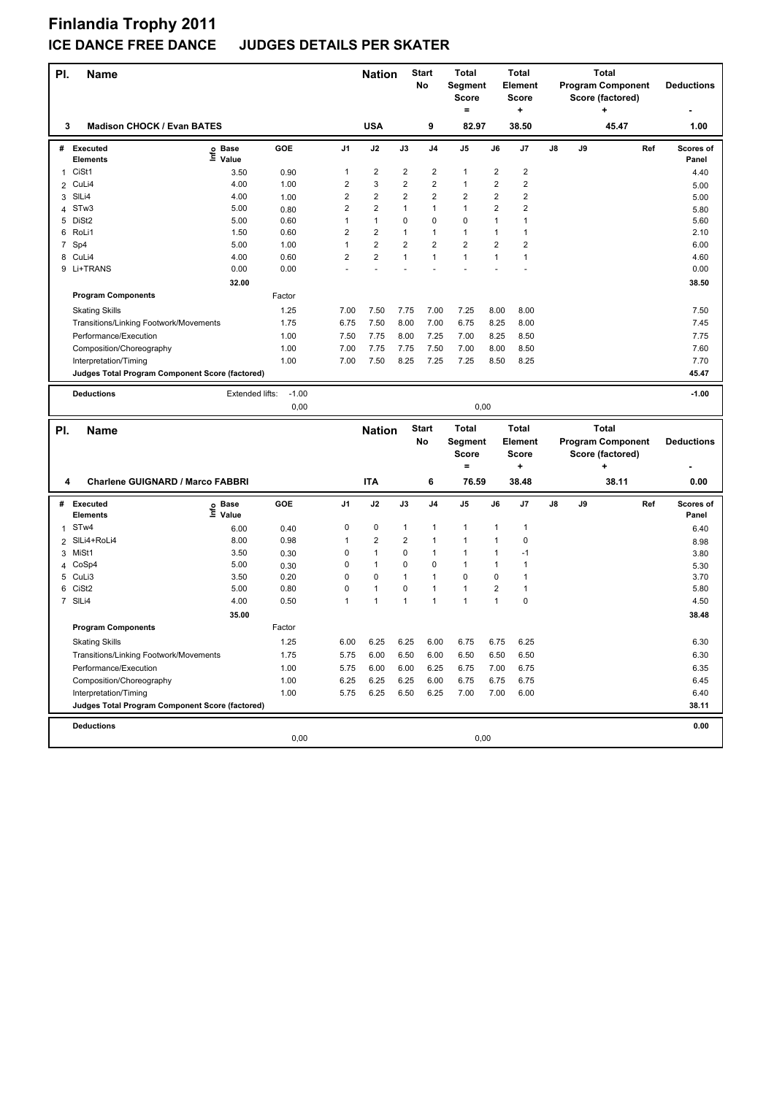| PI.            | <b>Name</b>                                     |                   |                 |                         | <b>Nation</b>           |                | <b>Start</b><br>No | <b>Total</b><br>Segment<br><b>Score</b><br>$=$ |                         | Total<br>Element<br><b>Score</b><br>٠ |    |    | <b>Total</b><br><b>Program Component</b><br>Score (factored)<br>÷ | <b>Deductions</b>  |
|----------------|-------------------------------------------------|-------------------|-----------------|-------------------------|-------------------------|----------------|--------------------|------------------------------------------------|-------------------------|---------------------------------------|----|----|-------------------------------------------------------------------|--------------------|
| 3              | <b>Madison CHOCK / Evan BATES</b>               |                   |                 |                         | <b>USA</b>              |                | 9                  | 82.97                                          |                         | 38.50                                 |    |    | 45.47                                                             | 1.00               |
| #              | <b>Executed</b><br><b>Elements</b>              | e Base<br>⊑ Value | GOE             | J <sub>1</sub>          | J2                      | J3             | J4                 | J5                                             | J6                      | J7                                    | J8 | J9 | Ref                                                               | Scores of<br>Panel |
| 1              | CiSt1                                           | 3.50              | 0.90            | $\mathbf{1}$            | 2                       | 2              | 2                  | 1                                              | 2                       | 2                                     |    |    |                                                                   | 4.40               |
| $\overline{2}$ | CuLi4                                           | 4.00              | 1.00            | $\overline{2}$          | 3                       | $\overline{2}$ | $\overline{2}$     | 1                                              | $\overline{\mathbf{c}}$ | $\overline{2}$                        |    |    |                                                                   | 5.00               |
| 3              | SIL <sub>i4</sub>                               | 4.00              | 1.00            | $\overline{\mathbf{c}}$ | 2                       | $\overline{2}$ | 2                  | $\overline{\mathbf{c}}$                        | $\overline{2}$          | $\overline{\mathbf{c}}$               |    |    |                                                                   | 5.00               |
| 4              | STw3                                            | 5.00              | 0.80            | 2                       | 2                       | 1              | 1                  | 1                                              | 2                       | 2                                     |    |    |                                                                   | 5.80               |
| 5              | DiSt2                                           | 5.00              | 0.60            | $\mathbf{1}$            | $\mathbf{1}$            | 0              | 0                  | 0                                              | $\mathbf{1}$            | $\mathbf{1}$                          |    |    |                                                                   | 5.60               |
|                | 6 RoLi1                                         | 1.50              | 0.60            | 2                       | $\overline{2}$          | $\mathbf{1}$   | 1                  | $\mathbf{1}$                                   | 1                       | 1                                     |    |    |                                                                   | 2.10               |
|                | 7 Sp4                                           | 5.00              | 1.00            | $\mathbf{1}$            | $\overline{2}$          | $\overline{2}$ | $\overline{2}$     | $\overline{2}$                                 | $\overline{2}$          | $\overline{2}$                        |    |    |                                                                   | 6.00               |
|                | 8 CuLi4                                         | 4.00              | 0.60            | $\overline{2}$          | $\overline{\mathbf{c}}$ | 1              | $\mathbf{1}$       | $\mathbf{1}$                                   | $\mathbf{1}$            | $\mathbf{1}$                          |    |    |                                                                   | 4.60               |
|                | 9 Li+TRANS                                      | 0.00              | 0.00            |                         |                         |                |                    |                                                |                         |                                       |    |    |                                                                   | 0.00               |
|                |                                                 | 32.00             |                 |                         |                         |                |                    |                                                |                         |                                       |    |    |                                                                   | 38.50              |
|                | <b>Program Components</b>                       |                   | Factor          |                         |                         |                |                    |                                                |                         |                                       |    |    |                                                                   |                    |
|                | <b>Skating Skills</b>                           |                   | 1.25            | 7.00                    | 7.50                    | 7.75           | 7.00               | 7.25                                           | 8.00                    | 8.00                                  |    |    |                                                                   | 7.50               |
|                | Transitions/Linking Footwork/Movements          |                   | 1.75            | 6.75                    | 7.50                    | 8.00           | 7.00               | 6.75                                           | 8.25                    | 8.00                                  |    |    |                                                                   | 7.45               |
|                | Performance/Execution                           |                   | 1.00            | 7.50                    | 7.75                    | 8.00           | 7.25               | 7.00                                           | 8.25                    | 8.50                                  |    |    |                                                                   | 7.75               |
|                | Composition/Choreography                        |                   | 1.00            | 7.00                    | 7.75                    | 7.75           | 7.50               | 7.00                                           | 8.00                    | 8.50                                  |    |    |                                                                   | 7.60               |
|                | Interpretation/Timing                           |                   | 1.00            | 7.00                    | 7.50                    | 8.25           | 7.25               | 7.25                                           | 8.50                    | 8.25                                  |    |    |                                                                   | 7.70               |
|                | Judges Total Program Component Score (factored) |                   |                 |                         |                         |                |                    |                                                |                         |                                       |    |    |                                                                   | 45.47              |
|                |                                                 |                   |                 |                         |                         |                |                    |                                                |                         |                                       |    |    |                                                                   |                    |
|                | <b>Deductions</b>                               | Extended lifts:   | $-1.00$<br>0,00 |                         |                         |                |                    | 0,00                                           |                         |                                       |    |    |                                                                   | $-1.00$            |
|                |                                                 |                   |                 |                         |                         |                |                    |                                                |                         |                                       |    |    |                                                                   |                    |
|                |                                                 |                   |                 |                         |                         |                |                    |                                                |                         |                                       |    |    |                                                                   |                    |
|                |                                                 |                   |                 |                         |                         |                | <b>Start</b>       | <b>Total</b>                                   |                         | <b>Total</b>                          |    |    | <b>Total</b>                                                      |                    |
| PI.            | <b>Name</b>                                     |                   |                 |                         | <b>Nation</b>           |                | No                 | Segment                                        |                         | <b>Element</b>                        |    |    | <b>Program Component</b>                                          | <b>Deductions</b>  |
|                |                                                 |                   |                 |                         |                         |                |                    | <b>Score</b>                                   |                         | Score                                 |    |    | Score (factored)                                                  |                    |
|                |                                                 |                   |                 |                         |                         |                |                    | $\equiv$                                       |                         | +                                     |    |    | ÷                                                                 |                    |
| 4              | <b>Charlene GUIGNARD / Marco FABBRI</b>         |                   |                 |                         | <b>ITA</b>              |                | 6                  | 76.59                                          |                         | 38.48                                 |    |    | 38.11                                                             | 0.00               |
|                |                                                 |                   |                 |                         |                         |                |                    |                                                |                         |                                       |    |    |                                                                   |                    |
| #              | <b>Executed</b>                                 |                   | GOE             | J1                      | J2                      | J3             | J4                 | J5                                             | J6                      | J7                                    | J8 | J9 | Ref                                                               | Scores of          |
|                | <b>Elements</b>                                 | e Base<br>⊆ Value |                 |                         |                         |                |                    |                                                |                         |                                       |    |    |                                                                   | Panel              |
| 1              | ST <sub>w</sub> 4                               | 6.00              | 0.40            | 0                       | 0                       | 1              | 1                  | 1                                              | $\mathbf{1}$            | $\mathbf{1}$                          |    |    |                                                                   | 6.40               |
| $\overline{2}$ | SILi4+RoLi4                                     | 8.00              | 0.98            | 1                       | 2                       | $\overline{2}$ | $\mathbf{1}$       | 1                                              | $\mathbf{1}$            | 0                                     |    |    |                                                                   | 8.98               |
|                | 3 MiSt1                                         | 3.50              | 0.30            | 0                       | 1                       | 0              | 1                  | 1                                              | 1                       | $-1$                                  |    |    |                                                                   | 3.80               |
| 4              | CoSp4                                           | 5.00              | 0.30            | 0                       | 1                       | 0              | 0                  | $\mathbf{1}$                                   | $\mathbf{1}$            | 1                                     |    |    |                                                                   | 5.30               |
|                | 5 CuLi3                                         | 3.50              | 0.20            | $\Omega$                | 0                       | $\mathbf{1}$   | 1                  | 0                                              | $\mathbf 0$             | $\mathbf{1}$                          |    |    |                                                                   | 3.70               |
| 6              | CiSt <sub>2</sub>                               | 5.00              | 0.80            | 0                       | 1                       | 0              | 1                  | $\mathbf{1}$                                   | $\mathbf 2$             | $\mathbf{1}$                          |    |    |                                                                   | 5.80               |
|                | 7 SILi4                                         | 4.00              | 0.50            | 1                       | $\mathbf{1}$            | $\mathbf{1}$   | 1                  | $\mathbf{1}$                                   | $\mathbf{1}$            | 0                                     |    |    |                                                                   | 4.50               |
|                |                                                 | 35.00             |                 |                         |                         |                |                    |                                                |                         |                                       |    |    |                                                                   | 38.48              |
|                | <b>Program Components</b>                       |                   | Factor          |                         |                         |                |                    |                                                |                         |                                       |    |    |                                                                   |                    |
|                | <b>Skating Skills</b>                           |                   | 1.25            | 6.00                    | 6.25                    | 6.25           | 6.00               | 6.75                                           | 6.75                    | 6.25                                  |    |    |                                                                   | 6.30               |
|                | Transitions/Linking Footwork/Movements          |                   | 1.75            | 5.75                    | 6.00                    | 6.50           | 6.00               | 6.50                                           | 6.50                    | 6.50                                  |    |    |                                                                   | 6.30               |
|                | Performance/Execution                           |                   | 1.00            | 5.75                    | 6.00                    | 6.00           | 6.25               | 6.75                                           | 7.00                    | 6.75                                  |    |    |                                                                   | 6.35               |
|                | Composition/Choreography                        |                   | 1.00            | 6.25                    | 6.25                    | 6.25           | 6.00               | 6.75                                           | 6.75                    | 6.75                                  |    |    |                                                                   | 6.45               |
|                | Interpretation/Timing                           |                   | 1.00            | 5.75                    | 6.25                    | 6.50           | 6.25               | 7.00                                           | 7.00                    | 6.00                                  |    |    |                                                                   | 6.40               |
|                | Judges Total Program Component Score (factored) |                   |                 |                         |                         |                |                    |                                                |                         |                                       |    |    |                                                                   | 38.11              |
|                |                                                 |                   |                 |                         |                         |                |                    |                                                |                         |                                       |    |    |                                                                   |                    |
|                | <b>Deductions</b>                               |                   | 0,00            |                         |                         |                |                    | 0,00                                           |                         |                                       |    |    |                                                                   | 0.00               |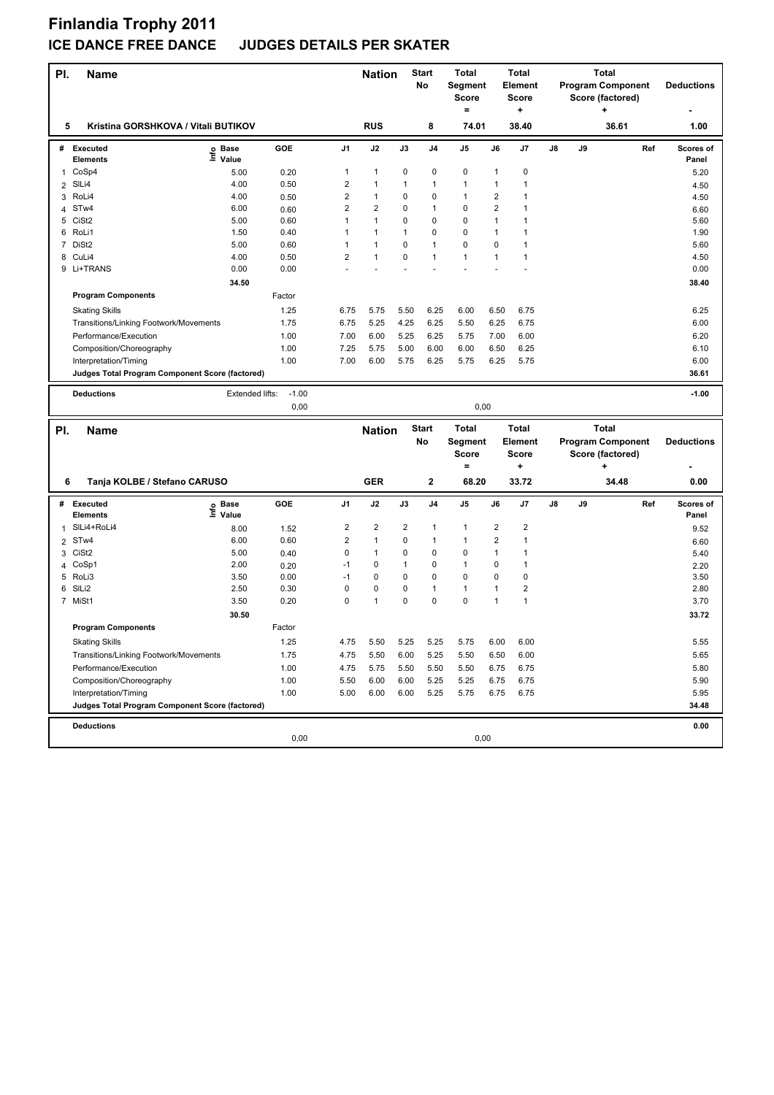| PI.            | <b>Name</b>                                     |                   |         |                         | <b>Nation</b> |      | <b>Start</b><br>No | Total<br>Segment         |                         | <b>Total</b><br><b>Element</b> |    |    | <b>Total</b><br><b>Program Component</b> | <b>Deductions</b>  |
|----------------|-------------------------------------------------|-------------------|---------|-------------------------|---------------|------|--------------------|--------------------------|-------------------------|--------------------------------|----|----|------------------------------------------|--------------------|
|                |                                                 |                   |         |                         |               |      |                    | <b>Score</b><br>$\equiv$ |                         | <b>Score</b><br>۰.             |    |    | Score (factored)<br>÷                    |                    |
| 5              | Kristina GORSHKOVA / Vitali BUTIKOV             |                   |         |                         | <b>RUS</b>    |      | 8                  | 74.01                    |                         | 38.40                          |    |    | 36.61                                    | 1.00               |
| #              | <b>Executed</b><br><b>Elements</b>              | e Base<br>⊆ Value | GOE     | J <sub>1</sub>          | J2            | J3   | J4                 | J5                       | J6                      | J7                             | J8 | J9 | Ref                                      | Scores of<br>Panel |
| 1              | CoSp4                                           | 5.00              | 0.20    | $\mathbf{1}$            | $\mathbf{1}$  | 0    | 0                  | 0                        | $\mathbf{1}$            | 0                              |    |    |                                          | 5.20               |
| $\overline{2}$ | SIL <sub>i4</sub>                               | 4.00              | 0.50    | $\overline{2}$          | 1             | 1    | 1                  | $\mathbf{1}$             | $\mathbf{1}$            | 1                              |    |    |                                          | 4.50               |
| 3              | RoLi4                                           | 4.00              | 0.50    | $\overline{\mathbf{c}}$ | 1             | 0    | 0                  | $\mathbf{1}$             | $\overline{\mathbf{c}}$ | 1                              |    |    |                                          | 4.50               |
| 4              | STw4                                            | 6.00              | 0.60    | $\overline{\mathbf{c}}$ | 2             | 0    | 1                  | 0                        | $\overline{2}$          | $\mathbf{1}$                   |    |    |                                          | 6.60               |
| 5              | CiSt <sub>2</sub>                               | 5.00              | 0.60    | $\mathbf{1}$            | $\mathbf{1}$  | 0    | 0                  | 0                        | $\mathbf{1}$            | 1                              |    |    |                                          | 5.60               |
|                | 6 RoLi1                                         | 1.50              | 0.40    | $\mathbf{1}$            | $\mathbf{1}$  | 1    | 0                  | 0                        | $\mathbf{1}$            | $\mathbf{1}$                   |    |    |                                          | 1.90               |
| 7              | DiSt <sub>2</sub>                               | 5.00              | 0.60    | $\mathbf{1}$            | 1             | 0    | 1                  | $\mathbf 0$              | $\mathbf 0$             | $\mathbf{1}$                   |    |    |                                          | 5.60               |
| 8              | CuLi4                                           | 4.00              | 0.50    | $\overline{2}$          | 1             | 0    | 1                  | $\mathbf{1}$             | $\mathbf{1}$            | $\mathbf{1}$                   |    |    |                                          | 4.50               |
|                | 9 Li+TRANS                                      | 0.00              | 0.00    |                         |               |      |                    |                          |                         |                                |    |    |                                          | 0.00               |
|                |                                                 | 34.50             |         |                         |               |      |                    |                          |                         |                                |    |    |                                          | 38.40              |
|                | <b>Program Components</b>                       |                   | Factor  |                         |               |      |                    |                          |                         |                                |    |    |                                          |                    |
|                | <b>Skating Skills</b>                           |                   | 1.25    | 6.75                    | 5.75          | 5.50 | 6.25               | 6.00                     | 6.50                    | 6.75                           |    |    |                                          | 6.25               |
|                | Transitions/Linking Footwork/Movements          |                   | 1.75    | 6.75                    | 5.25          | 4.25 | 6.25               | 5.50                     | 6.25                    | 6.75                           |    |    |                                          | 6.00               |
|                | Performance/Execution                           |                   | 1.00    | 7.00                    | 6.00          | 5.25 | 6.25               | 5.75                     | 7.00                    | 6.00                           |    |    |                                          | 6.20               |
|                | Composition/Choreography                        |                   | 1.00    | 7.25                    | 5.75          | 5.00 | 6.00               | 6.00                     | 6.50                    | 6.25                           |    |    |                                          | 6.10               |
|                | Interpretation/Timing                           |                   | 1.00    | 7.00                    | 6.00          | 5.75 | 6.25               | 5.75                     | 6.25                    | 5.75                           |    |    |                                          | 6.00               |
|                | Judges Total Program Component Score (factored) |                   |         |                         |               |      |                    |                          |                         |                                |    |    |                                          | 36.61              |
|                |                                                 |                   |         |                         |               |      |                    |                          |                         |                                |    |    |                                          |                    |
|                | <b>Deductions</b>                               | Extended lifts:   | $-1.00$ |                         |               |      |                    |                          |                         |                                |    |    |                                          | $-1.00$            |
|                |                                                 |                   | 0,00    |                         |               |      |                    | 0,00                     |                         |                                |    |    |                                          |                    |
| PI.            | <b>Name</b>                                     |                   |         |                         | <b>Nation</b> |      | <b>Start</b>       | <b>Total</b>             |                         | <b>Total</b>                   |    |    | <b>Total</b>                             |                    |
|                |                                                 |                   |         |                         |               |      | No                 | Segment                  |                         | <b>Element</b>                 |    |    | <b>Program Component</b>                 | <b>Deductions</b>  |
|                |                                                 |                   |         |                         |               |      |                    |                          |                         |                                |    |    |                                          |                    |
|                |                                                 |                   |         |                         |               |      |                    |                          |                         |                                |    |    |                                          |                    |
|                |                                                 |                   |         |                         |               |      |                    | <b>Score</b><br>$\equiv$ |                         | <b>Score</b>                   |    |    | Score (factored)                         |                    |
|                |                                                 |                   |         |                         |               |      |                    |                          |                         | +                              |    |    | ٠                                        |                    |
| 6              | Tanja KOLBE / Stefano CARUSO                    |                   |         |                         | <b>GER</b>    |      | 2                  | 68.20                    |                         | 33.72                          |    |    | 34.48                                    | 0.00               |
|                | # Executed                                      |                   | GOE     | J1                      | J2            | J3   | J <sub>4</sub>     | J5                       | J6                      | J7                             | J8 | J9 | Ref                                      | Scores of          |
|                | <b>Elements</b>                                 | e Base<br>⊆ Value |         |                         |               |      |                    |                          |                         |                                |    |    |                                          | Panel              |
| 1              | SILi4+RoLi4                                     | 8.00              | 1.52    | $\overline{\mathbf{c}}$ | 2             | 2    | 1                  | $\mathbf{1}$             | $\overline{2}$          | $\overline{\mathbf{c}}$        |    |    |                                          | 9.52               |
| $\overline{2}$ | ST <sub>w</sub> 4                               | 6.00              | 0.60    | $\overline{2}$          | 1             | 0    | 1                  | 1                        | $\overline{2}$          | 1                              |    |    |                                          | 6.60               |
| 3              | CiSt <sub>2</sub>                               | 5.00              | 0.40    | 0                       | $\mathbf{1}$  | 0    | 0                  | 0                        | $\mathbf{1}$            | 1                              |    |    |                                          | 5.40               |
| 4              | CoSp1                                           | 2.00              | 0.20    | $-1$                    | 0             | 1    | 0                  | $\mathbf{1}$             | 0                       | 1                              |    |    |                                          | 2.20               |
|                | 5 RoLi3                                         | 3.50              | 0.00    | $-1$                    | 0             | 0    | 0                  | $\mathbf 0$              | $\pmb{0}$               | $\pmb{0}$                      |    |    |                                          | 3.50               |
| 6              | SILi2                                           | 2.50              | 0.30    | 0                       | 0             | 0    | 1                  | $\mathbf{1}$             | $\mathbf{1}$            | $\overline{2}$                 |    |    |                                          | 2.80               |
|                | 7 MiSt1                                         | 3.50              | 0.20    | 0                       | $\mathbf{1}$  | 0    | 0                  | $\mathbf 0$              | $\mathbf{1}$            | $\mathbf{1}$                   |    |    |                                          | 3.70               |
|                |                                                 | 30.50             |         |                         |               |      |                    |                          |                         |                                |    |    |                                          | 33.72              |
|                | <b>Program Components</b>                       |                   | Factor  |                         |               |      |                    |                          |                         |                                |    |    |                                          |                    |
|                | <b>Skating Skills</b>                           |                   | 1.25    | 4.75                    | 5.50          | 5.25 | 5.25               | 5.75                     | 6.00                    | 6.00                           |    |    |                                          | 5.55               |
|                | Transitions/Linking Footwork/Movements          |                   | 1.75    | 4.75                    | 5.50          | 6.00 | 5.25               | 5.50                     | 6.50                    | 6.00                           |    |    |                                          | 5.65               |
|                | Performance/Execution                           |                   | 1.00    | 4.75                    | 5.75          | 5.50 | 5.50               | 5.50                     | 6.75                    | 6.75                           |    |    |                                          | 5.80               |
|                | Composition/Choreography                        |                   | 1.00    | 5.50                    | 6.00          | 6.00 | 5.25               | 5.25                     | 6.75                    | 6.75                           |    |    |                                          | 5.90               |
|                | Interpretation/Timing                           |                   | 1.00    | 5.00                    | 6.00          | 6.00 | 5.25               | 5.75                     | 6.75                    | 6.75                           |    |    |                                          | 5.95               |
|                | Judges Total Program Component Score (factored) |                   |         |                         |               |      |                    |                          |                         |                                |    |    |                                          | 34.48              |
|                |                                                 |                   |         |                         |               |      |                    |                          |                         |                                |    |    |                                          |                    |
|                | <b>Deductions</b>                               |                   | 0,00    |                         |               |      |                    | 0,00                     |                         |                                |    |    |                                          | 0.00               |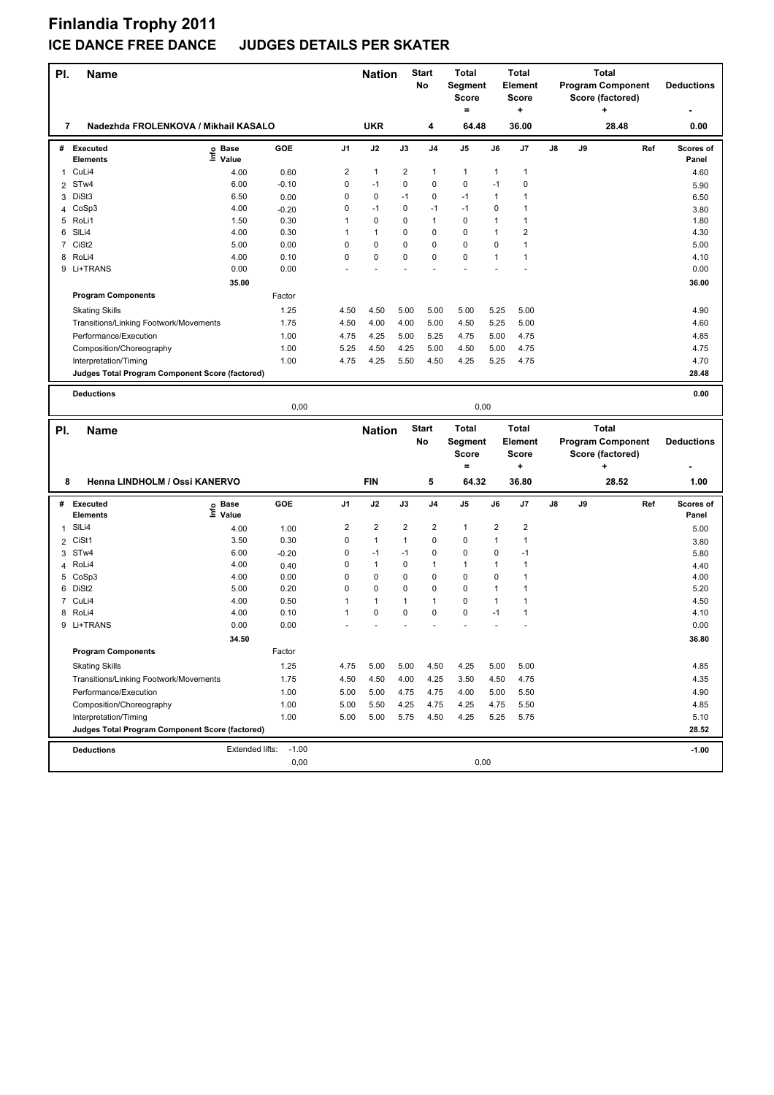| PI.          | <b>Name</b>                                     |                       |                 |                         | <b>Nation</b>     |                   | Start<br>No    | Total<br>Segment<br><b>Score</b><br>$\equiv$ |                             | <b>Total</b><br><b>Element</b><br>Score<br>٠ |    |    | <b>Total</b><br><b>Program Component</b><br>Score (factored) |     | <b>Deductions</b>  |
|--------------|-------------------------------------------------|-----------------------|-----------------|-------------------------|-------------------|-------------------|----------------|----------------------------------------------|-----------------------------|----------------------------------------------|----|----|--------------------------------------------------------------|-----|--------------------|
| 7            | Nadezhda FROLENKOVA / Mikhail KASALO            |                       |                 |                         | <b>UKR</b>        |                   | 4              | 64.48                                        |                             | 36.00                                        |    |    | 28.48                                                        |     | 0.00               |
| #            | <b>Executed</b><br><b>Elements</b>              | Base<br>١nfo<br>Value | GOE             | J <sub>1</sub>          | J2                | J3                | J <sub>4</sub> | J5                                           | J6                          | J7                                           | J8 | J9 |                                                              | Ref | Scores of<br>Panel |
| 1            | CuLi4                                           | 4.00                  | 0.60            | $\overline{2}$          | 1                 | 2                 | 1              | $\mathbf{1}$                                 | $\mathbf{1}$                | $\mathbf{1}$                                 |    |    |                                                              |     | 4.60               |
|              | 2 STw4                                          | 6.00                  | $-0.10$         | 0                       | $-1$              | 0                 | 0              | 0                                            | $-1$                        | 0                                            |    |    |                                                              |     | 5.90               |
| 3            | DiSt3                                           | 6.50                  | 0.00            | 0                       | 0                 | $-1$              | 0              | $-1$                                         | $\mathbf{1}$                | $\mathbf{1}$                                 |    |    |                                                              |     | 6.50               |
| 4            | CoSp3                                           | 4.00                  | $-0.20$         | 0                       | $-1$              | 0                 | $-1$           | $-1$                                         | $\mathbf 0$                 | 1                                            |    |    |                                                              |     | 3.80               |
| 5            | RoLi1                                           | 1.50                  | 0.30            | $\mathbf{1}$            | 0                 | 0                 | $\mathbf{1}$   | $\mathbf 0$                                  | $\mathbf{1}$                | $\mathbf{1}$                                 |    |    |                                                              |     | 1.80               |
| 6            | SILi4                                           | 4.00                  | 0.30            | $\mathbf{1}$            | 1                 | 0                 | 0              | $\mathbf 0$                                  | $\mathbf{1}$                | $\overline{2}$                               |    |    |                                                              |     | 4.30               |
|              | 7 CiSt2                                         | 5.00                  | 0.00            | 0                       | 0                 | 0                 | 0              | 0                                            | $\mathbf 0$                 | 1                                            |    |    |                                                              |     | 5.00               |
| 8            | RoLi4                                           | 4.00                  | 0.10            | 0                       | 0                 | 0                 | 0              | 0                                            | $\mathbf{1}$                | 1                                            |    |    |                                                              |     | 4.10               |
|              | 9 Li+TRANS                                      | 0.00                  | 0.00            |                         |                   |                   |                | $\ddot{\phantom{1}}$                         |                             |                                              |    |    |                                                              |     | 0.00               |
|              |                                                 | 35.00                 |                 |                         |                   |                   |                |                                              |                             |                                              |    |    |                                                              |     | 36.00              |
|              | <b>Program Components</b>                       |                       | Factor          |                         |                   |                   |                |                                              |                             |                                              |    |    |                                                              |     |                    |
|              | <b>Skating Skills</b>                           |                       | 1.25            | 4.50                    | 4.50              | 5.00              | 5.00           | 5.00                                         | 5.25                        | 5.00                                         |    |    |                                                              |     | 4.90               |
|              | Transitions/Linking Footwork/Movements          |                       | 1.75            | 4.50                    | 4.00              | 4.00              | 5.00           | 4.50                                         | 5.25                        | 5.00                                         |    |    |                                                              |     | 4.60               |
|              | Performance/Execution                           |                       | 1.00            | 4.75                    | 4.25              | 5.00              | 5.25           | 4.75                                         | 5.00                        | 4.75                                         |    |    |                                                              |     | 4.85               |
|              | Composition/Choreography                        |                       | 1.00            | 5.25                    | 4.50              | 4.25              | 5.00           | 4.50                                         | 5.00                        | 4.75                                         |    |    |                                                              |     | 4.75               |
|              | Interpretation/Timing                           |                       | 1.00            | 4.75                    | 4.25              | 5.50              | 4.50           | 4.25                                         | 5.25                        | 4.75                                         |    |    |                                                              |     | 4.70               |
|              | Judges Total Program Component Score (factored) |                       |                 |                         |                   |                   |                |                                              |                             |                                              |    |    |                                                              |     | 28.48              |
|              |                                                 |                       |                 |                         |                   |                   |                |                                              |                             |                                              |    |    |                                                              |     |                    |
|              | <b>Deductions</b>                               |                       |                 |                         |                   |                   |                |                                              |                             |                                              |    |    |                                                              |     | 0.00               |
|              |                                                 |                       | 0,00            |                         |                   |                   |                | 0,00                                         |                             |                                              |    |    |                                                              |     |                    |
|              |                                                 |                       |                 |                         |                   |                   |                |                                              |                             |                                              |    |    |                                                              |     |                    |
|              |                                                 |                       |                 |                         |                   |                   | <b>Start</b>   | Total                                        |                             | <b>Total</b>                                 |    |    | <b>Total</b>                                                 |     |                    |
| PI.          | Name                                            |                       |                 |                         | <b>Nation</b>     |                   | No             | Segment                                      |                             | <b>Element</b>                               |    |    | <b>Program Component</b>                                     |     | <b>Deductions</b>  |
|              |                                                 |                       |                 |                         |                   |                   |                | <b>Score</b>                                 |                             | Score                                        |    |    | Score (factored)                                             |     |                    |
|              |                                                 |                       |                 |                         |                   |                   |                | $\equiv$                                     |                             | ÷                                            |    |    | ÷                                                            |     |                    |
| 8            | Henna LINDHOLM / Ossi KANERVO                   |                       |                 |                         | <b>FIN</b>        |                   | 5              | 64.32                                        |                             | 36.80                                        |    |    | 28.52                                                        |     | 1.00               |
|              | # Executed                                      |                       | GOE             | J <sub>1</sub>          | J2                | J3                | J <sub>4</sub> | J5                                           | J6                          | J7                                           | J8 | J9 |                                                              | Ref | Scores of          |
|              | <b>Elements</b>                                 | e Base<br>⊑ Value     |                 |                         |                   |                   |                |                                              |                             |                                              |    |    |                                                              |     | Panel              |
| $\mathbf{1}$ | SIL <sub>i4</sub>                               | 4.00                  | 1.00            | $\overline{\mathbf{c}}$ | 2<br>$\mathbf{1}$ | 2<br>$\mathbf{1}$ | 2<br>0         | 1                                            | $\overline{\mathbf{c}}$     | $\overline{\mathbf{c}}$                      |    |    |                                                              |     | 5.00               |
| 2            | CiSt1                                           | 3.50<br>6.00          | 0.30            | 0<br>0                  | $-1$              | $-1$              | 0              | 0<br>$\mathbf 0$                             | $\mathbf{1}$<br>$\mathbf 0$ | 1<br>$-1$                                    |    |    |                                                              |     | 3.80               |
| 3<br>4       | STw4<br>RoLi4                                   | 4.00                  | $-0.20$         | 0                       | 1                 | 0                 | 1              | $\mathbf{1}$                                 | $\mathbf{1}$                | $\mathbf{1}$                                 |    |    |                                                              |     | 5.80               |
| 5            | CoSp3                                           | 4.00                  | 0.40<br>0.00    | 0                       | 0                 | 0                 | 0              | 0                                            | $\mathbf 0$                 | 1                                            |    |    |                                                              |     | 4.40<br>4.00       |
| 6            | DiSt2                                           | 5.00                  | 0.20            | 0                       | 0                 | 0                 | 0              | 0                                            | $\mathbf{1}$                | 1                                            |    |    |                                                              |     | 5.20               |
| 7            | CuLi4                                           | 4.00                  | 0.50            | $\mathbf{1}$            | 1                 | 1                 | 1              | 0                                            | $\mathbf{1}$                | 1                                            |    |    |                                                              |     | 4.50               |
| 8            | RoLi4                                           | 4.00                  | 0.10            | 1                       | 0                 | 0                 | 0              | 0                                            | $-1$                        | 1                                            |    |    |                                                              |     | 4.10               |
|              | 9 Li+TRANS                                      | 0.00                  | 0.00            |                         |                   |                   |                |                                              |                             |                                              |    |    |                                                              |     | 0.00               |
|              |                                                 | 34.50                 |                 |                         |                   |                   |                |                                              |                             |                                              |    |    |                                                              |     | 36.80              |
|              | <b>Program Components</b>                       |                       | Factor          |                         |                   |                   |                |                                              |                             |                                              |    |    |                                                              |     |                    |
|              | <b>Skating Skills</b>                           |                       |                 | 4.75                    |                   | 5.00              | 4.50           |                                              | 5.00                        |                                              |    |    |                                                              |     | 4.85               |
|              | Transitions/Linking Footwork/Movements          |                       | 1.25<br>1.75    | 4.50                    | 5.00<br>4.50      | 4.00              | 4.25           | 4.25<br>3.50                                 | 4.50                        | 5.00<br>4.75                                 |    |    |                                                              |     | 4.35               |
|              |                                                 |                       |                 |                         |                   |                   |                |                                              |                             |                                              |    |    |                                                              |     |                    |
|              | Performance/Execution                           |                       | 1.00            | 5.00                    | 5.00              | 4.75              | 4.75           | 4.00                                         | 5.00                        | 5.50                                         |    |    |                                                              |     | 4.90               |
|              | Composition/Choreography                        |                       | 1.00            | 5.00                    | 5.50              | 4.25              | 4.75           | 4.25                                         | 4.75                        | 5.50                                         |    |    |                                                              |     | 4.85               |
|              | Interpretation/Timing                           |                       | 1.00            | 5.00                    | 5.00              | 5.75              | 4.50           | 4.25                                         | 5.25                        | 5.75                                         |    |    |                                                              |     | 5.10               |
|              | Judges Total Program Component Score (factored) |                       |                 |                         |                   |                   |                |                                              |                             |                                              |    |    |                                                              |     | 28.52              |
|              | <b>Deductions</b>                               | Extended lifts:       | $-1.00$<br>0,00 |                         |                   |                   |                | 0,00                                         |                             |                                              |    |    |                                                              |     | $-1.00$            |